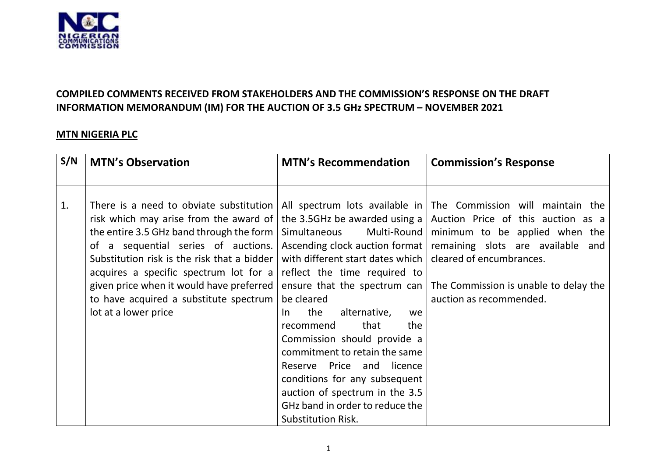

### **COMPILED COMMENTS RECEIVED FROM STAKEHOLDERS AND THE COMMISSION'S RESPONSE ON THE DRAFT INFORMATION MEMORANDUM (IM) FOR THE AUCTION OF 3.5 GHz SPECTRUM – NOVEMBER 2021**

#### **MTN NIGERIA PLC**

| S/N | <b>MTN's Observation</b>                                                                                                                                                                                                                                                                                                                                                              | <b>MTN's Recommendation</b>                                                                                                                                                                                                                                                                                                                                                                                               | <b>Commission's Response</b>                                                                                                                                                                                                                                                                                                                                         |
|-----|---------------------------------------------------------------------------------------------------------------------------------------------------------------------------------------------------------------------------------------------------------------------------------------------------------------------------------------------------------------------------------------|---------------------------------------------------------------------------------------------------------------------------------------------------------------------------------------------------------------------------------------------------------------------------------------------------------------------------------------------------------------------------------------------------------------------------|----------------------------------------------------------------------------------------------------------------------------------------------------------------------------------------------------------------------------------------------------------------------------------------------------------------------------------------------------------------------|
| 1.  | There is a need to obviate substitution<br>risk which may arise from the award of $ $<br>the entire 3.5 GHz band through the form $ $<br>of a sequential series of auctions.<br>Substitution risk is the risk that a bidder<br>acquires a specific spectrum lot for a<br>given price when it would have preferred  <br>to have acquired a substitute spectrum<br>lot at a lower price | Simultaneous<br>with different start dates which   cleared of encumbrances.<br>reflect the time required to<br>be cleared<br>the<br>alternative,<br>In.<br>we<br>that<br>recommend<br>the<br>Commission should provide a<br>commitment to retain the same<br>Reserve Price and licence<br>conditions for any subsequent<br>auction of spectrum in the 3.5<br>GHz band in order to reduce the<br><b>Substitution Risk.</b> | All spectrum lots available in The Commission will maintain the<br>the 3.5GHz be awarded using a $\vert$ Auction Price of this auction as a<br>Multi-Round   minimum to be applied when the<br>Ascending clock auction format remaining slots are available and<br>ensure that the spectrum can $ $ The Commission is unable to delay the<br>auction as recommended. |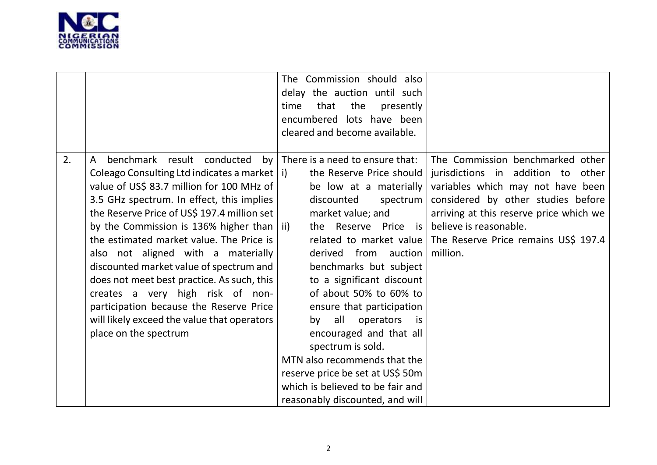

|    |                                                                                                                                                                                                                                                                                                                                                                                                                                                                                                                                                                                                                                                   | The Commission should also<br>delay the auction until such<br>time<br>that<br>the<br>presently<br>encumbered lots have been<br>cleared and become available.                                                                                                                                                                                                                                                                                                                                                                                                     |                                                                                                                                                                                                                                                                            |
|----|---------------------------------------------------------------------------------------------------------------------------------------------------------------------------------------------------------------------------------------------------------------------------------------------------------------------------------------------------------------------------------------------------------------------------------------------------------------------------------------------------------------------------------------------------------------------------------------------------------------------------------------------------|------------------------------------------------------------------------------------------------------------------------------------------------------------------------------------------------------------------------------------------------------------------------------------------------------------------------------------------------------------------------------------------------------------------------------------------------------------------------------------------------------------------------------------------------------------------|----------------------------------------------------------------------------------------------------------------------------------------------------------------------------------------------------------------------------------------------------------------------------|
| 2. | benchmark result conducted<br>by <sub>l</sub><br>A<br>Coleago Consulting Ltd indicates a market $\vert i \rangle$<br>value of US\$ 83.7 million for 100 MHz of<br>3.5 GHz spectrum. In effect, this implies<br>the Reserve Price of US\$ 197.4 million set<br>by the Commission is 136% higher than $\vert$ ii)<br>the estimated market value. The Price is<br>also not aligned with a materially<br>discounted market value of spectrum and<br>does not meet best practice. As such, this<br>creates a very high risk of non-<br>participation because the Reserve Price<br>will likely exceed the value that operators<br>place on the spectrum | There is a need to ensure that:<br>the Reserve Price should<br>be low at a materially<br>discounted<br>spectrum  <br>market value; and<br>the Reserve Price is<br>related to market value<br>from<br>auction<br>derived<br>benchmarks but subject<br>to a significant discount<br>of about 50% to 60% to<br>ensure that participation<br>all<br>operators<br>by<br>is<br>encouraged and that all<br>spectrum is sold.<br>MTN also recommends that the<br>reserve price be set at US\$ 50m<br>which is believed to be fair and<br>reasonably discounted, and will | The Commission benchmarked other<br>jurisdictions in addition to other<br>variables which may not have been<br>considered by other studies before<br>arriving at this reserve price which we<br>believe is reasonable.<br>The Reserve Price remains US\$ 197.4<br>million. |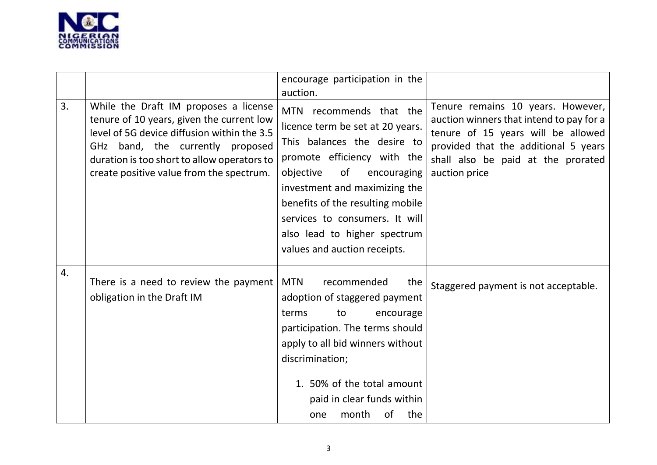

|    |                                                                                                                                                                                                                                                                  | encourage participation in the<br>auction.                                                                                                                                                                                                                                                                                         |                                                                                                                                                                                                                    |
|----|------------------------------------------------------------------------------------------------------------------------------------------------------------------------------------------------------------------------------------------------------------------|------------------------------------------------------------------------------------------------------------------------------------------------------------------------------------------------------------------------------------------------------------------------------------------------------------------------------------|--------------------------------------------------------------------------------------------------------------------------------------------------------------------------------------------------------------------|
| 3. | While the Draft IM proposes a license<br>tenure of 10 years, given the current low<br>level of 5G device diffusion within the 3.5<br>GHz band, the currently proposed<br>duration is too short to allow operators to<br>create positive value from the spectrum. | MTN recommends that the<br>licence term be set at 20 years.<br>This balances the desire to<br>promote efficiency with the<br>objective<br>of<br>encouraging<br>investment and maximizing the<br>benefits of the resulting mobile<br>services to consumers. It will<br>also lead to higher spectrum<br>values and auction receipts. | Tenure remains 10 years. However,<br>auction winners that intend to pay for a<br>tenure of 15 years will be allowed<br>provided that the additional 5 years<br>shall also be paid at the prorated<br>auction price |
| 4. | There is a need to review the payment  <br>obligation in the Draft IM                                                                                                                                                                                            | <b>MTN</b><br>recommended<br>the<br>adoption of staggered payment<br>terms<br>to<br>encourage<br>participation. The terms should<br>apply to all bid winners without<br>discrimination;<br>1. 50% of the total amount<br>paid in clear funds within<br>month<br>of<br>the<br>one                                                   | Staggered payment is not acceptable.                                                                                                                                                                               |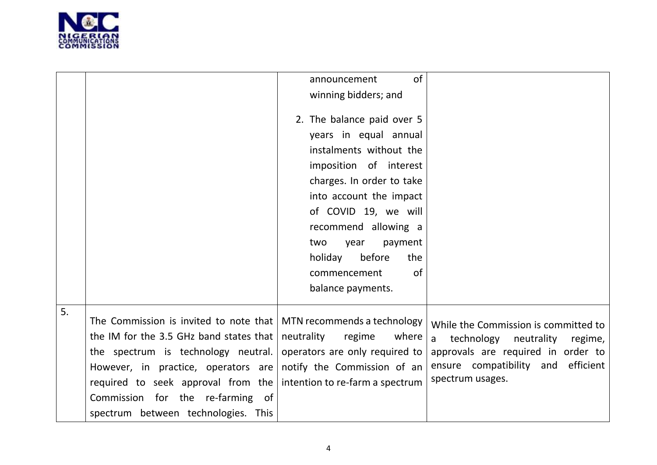

|    |                                                                                                                                                                                                                                                                                                                                                                                                                                    | <sub>of</sub><br>announcement                                                                                                                                                                                                              |                                                                                                                                                                                             |
|----|------------------------------------------------------------------------------------------------------------------------------------------------------------------------------------------------------------------------------------------------------------------------------------------------------------------------------------------------------------------------------------------------------------------------------------|--------------------------------------------------------------------------------------------------------------------------------------------------------------------------------------------------------------------------------------------|---------------------------------------------------------------------------------------------------------------------------------------------------------------------------------------------|
|    |                                                                                                                                                                                                                                                                                                                                                                                                                                    | winning bidders; and                                                                                                                                                                                                                       |                                                                                                                                                                                             |
|    |                                                                                                                                                                                                                                                                                                                                                                                                                                    | 2. The balance paid over 5<br>years in equal annual<br>instalments without the<br>imposition of interest<br>charges. In order to take<br>into account the impact<br>of COVID 19, we will<br>recommend allowing a<br>year<br>payment<br>two |                                                                                                                                                                                             |
|    |                                                                                                                                                                                                                                                                                                                                                                                                                                    | holiday<br>before<br>the                                                                                                                                                                                                                   |                                                                                                                                                                                             |
|    |                                                                                                                                                                                                                                                                                                                                                                                                                                    | <b>of</b><br>commencement                                                                                                                                                                                                                  |                                                                                                                                                                                             |
|    |                                                                                                                                                                                                                                                                                                                                                                                                                                    | balance payments.                                                                                                                                                                                                                          |                                                                                                                                                                                             |
| 5. | The Commission is invited to note that $\vert$ MTN recommends a technology<br>the IM for the 3.5 GHz band states that $\vert$ neutrality<br>the spectrum is technology neutral. operators are only required to<br>However, in practice, operators are notify the Commission of an<br>required to seek approval from the intention to re-farm a spectrum<br>Commission for the re-farming of<br>spectrum between technologies. This | regime<br>where                                                                                                                                                                                                                            | While the Commission is committed to<br>technology<br>neutrality<br>$\mathsf{a}$<br>regime,<br>approvals are required in order to<br>ensure compatibility and efficient<br>spectrum usages. |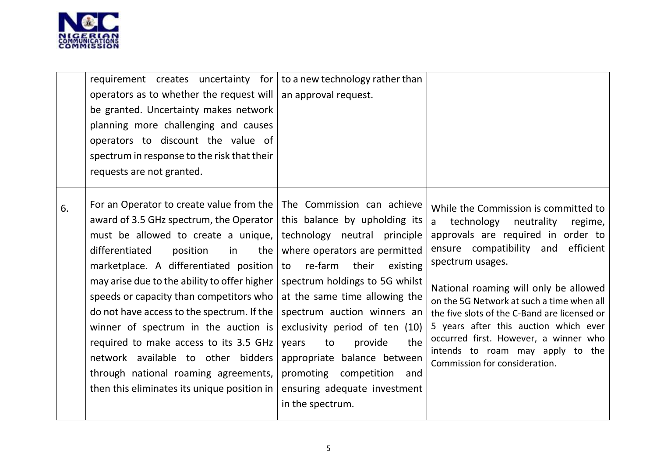

|    | requirement creates uncertainty for $\vert$ to a new technology rather than<br>operators as to whether the request will $\vert$ an approval request.<br>be granted. Uncertainty makes network<br>planning more challenging and causes<br>operators to discount the value of<br>spectrum in response to the risk that their<br>requests are not granted.                                                                                                                                                                                                                                                                                                                                                                                                                                                                                                                                                                |                                                                                                                   |                                                                                                                                                                                                                                                                                                                                                                                                                                                                               |
|----|------------------------------------------------------------------------------------------------------------------------------------------------------------------------------------------------------------------------------------------------------------------------------------------------------------------------------------------------------------------------------------------------------------------------------------------------------------------------------------------------------------------------------------------------------------------------------------------------------------------------------------------------------------------------------------------------------------------------------------------------------------------------------------------------------------------------------------------------------------------------------------------------------------------------|-------------------------------------------------------------------------------------------------------------------|-------------------------------------------------------------------------------------------------------------------------------------------------------------------------------------------------------------------------------------------------------------------------------------------------------------------------------------------------------------------------------------------------------------------------------------------------------------------------------|
| 6. | For an Operator to create value from the $ $ The Commission can achieve<br>award of 3.5 GHz spectrum, the Operator   this balance by upholding its<br>must be allowed to create a unique, technology neutral principle<br>differentiated<br>position<br>in<br>marketplace. A differentiated position to re-farm their<br>may arise due to the ability to offer higher $\vert$ spectrum holdings to 5G whilst<br>speeds or capacity than competitors who $\vert$ at the same time allowing the<br>do not have access to the spectrum. If the $\vert$ spectrum auction winners an<br>winner of spectrum in the auction is exclusivity period of ten $(10)$<br>required to make access to its 3.5 GHz<br>network available to other bidders appropriate balance between<br>through national roaming agreements, promoting competition<br>then this eliminates its unique position in $\vert$ ensuring adequate investment | the $\vert$ where operators are permitted<br>existing<br>the<br>years<br>to<br>provide<br>and<br>in the spectrum. | While the Commission is committed to<br>technology neutrality<br>regime,<br>a<br>approvals are required in order to<br>ensure compatibility and<br>efficient<br>spectrum usages.<br>National roaming will only be allowed<br>on the 5G Network at such a time when all<br>the five slots of the C-Band are licensed or<br>5 years after this auction which ever<br>occurred first. However, a winner who<br>intends to roam may apply to the<br>Commission for consideration. |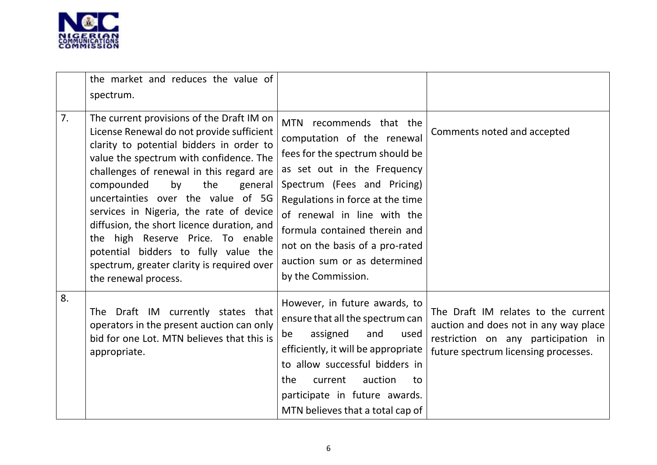

|    | the market and reduces the value of<br>spectrum.                                                                                                                                                                                                                                                                                                                                                                                                                                                                                                  |                                                                                                                                                                                                                                                                                                                                                     |                                                                                                                                                             |
|----|---------------------------------------------------------------------------------------------------------------------------------------------------------------------------------------------------------------------------------------------------------------------------------------------------------------------------------------------------------------------------------------------------------------------------------------------------------------------------------------------------------------------------------------------------|-----------------------------------------------------------------------------------------------------------------------------------------------------------------------------------------------------------------------------------------------------------------------------------------------------------------------------------------------------|-------------------------------------------------------------------------------------------------------------------------------------------------------------|
| 7. | The current provisions of the Draft IM on<br>License Renewal do not provide sufficient<br>clarity to potential bidders in order to<br>value the spectrum with confidence. The<br>challenges of renewal in this regard are<br>by<br>the<br>compounded<br>general<br>uncertainties over the value of 5G<br>services in Nigeria, the rate of device<br>diffusion, the short licence duration, and<br>the high Reserve Price. To enable<br>potential bidders to fully value the<br>spectrum, greater clarity is required over<br>the renewal process. | MTN recommends that the<br>computation of the renewal<br>fees for the spectrum should be<br>as set out in the Frequency<br>Spectrum (Fees and Pricing)<br>Regulations in force at the time<br>of renewal in line with the<br>formula contained therein and<br>not on the basis of a pro-rated<br>auction sum or as determined<br>by the Commission. | Comments noted and accepted                                                                                                                                 |
| 8. | The Draft IM currently states that<br>operators in the present auction can only<br>bid for one Lot. MTN believes that this is<br>appropriate.                                                                                                                                                                                                                                                                                                                                                                                                     | However, in future awards, to<br>ensure that all the spectrum can<br>assigned<br>and<br>used<br>be<br>efficiently, it will be appropriate<br>to allow successful bidders in<br>auction<br>the<br>current<br>to<br>participate in future awards.<br>MTN believes that a total cap of                                                                 | The Draft IM relates to the current<br>auction and does not in any way place<br>restriction on any participation in<br>future spectrum licensing processes. |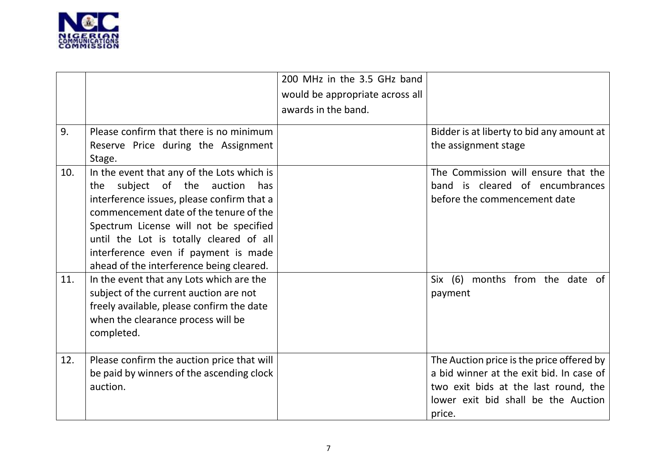

|     |                                                                                    | 200 MHz in the 3.5 GHz band     |                                                                        |
|-----|------------------------------------------------------------------------------------|---------------------------------|------------------------------------------------------------------------|
|     |                                                                                    | would be appropriate across all |                                                                        |
|     |                                                                                    | awards in the band.             |                                                                        |
| 9.  | Please confirm that there is no minimum                                            |                                 | Bidder is at liberty to bid any amount at                              |
|     | Reserve Price during the Assignment<br>Stage.                                      |                                 | the assignment stage                                                   |
| 10. | In the event that any of the Lots which is<br>subject of the auction<br>has<br>the |                                 | The Commission will ensure that the<br>band is cleared of encumbrances |
|     | interference issues, please confirm that a                                         |                                 | before the commencement date                                           |
|     | commencement date of the tenure of the                                             |                                 |                                                                        |
|     | Spectrum License will not be specified                                             |                                 |                                                                        |
|     | until the Lot is totally cleared of all                                            |                                 |                                                                        |
|     | interference even if payment is made                                               |                                 |                                                                        |
|     | ahead of the interference being cleared.                                           |                                 |                                                                        |
| 11. | In the event that any Lots which are the                                           |                                 | Six (6) months from the date of                                        |
|     | subject of the current auction are not                                             |                                 | payment                                                                |
|     | freely available, please confirm the date                                          |                                 |                                                                        |
|     | when the clearance process will be                                                 |                                 |                                                                        |
|     | completed.                                                                         |                                 |                                                                        |
| 12. | Please confirm the auction price that will                                         |                                 | The Auction price is the price offered by                              |
|     | be paid by winners of the ascending clock                                          |                                 | a bid winner at the exit bid. In case of                               |
|     | auction.                                                                           |                                 | two exit bids at the last round, the                                   |
|     |                                                                                    |                                 | lower exit bid shall be the Auction                                    |
|     |                                                                                    |                                 | price.                                                                 |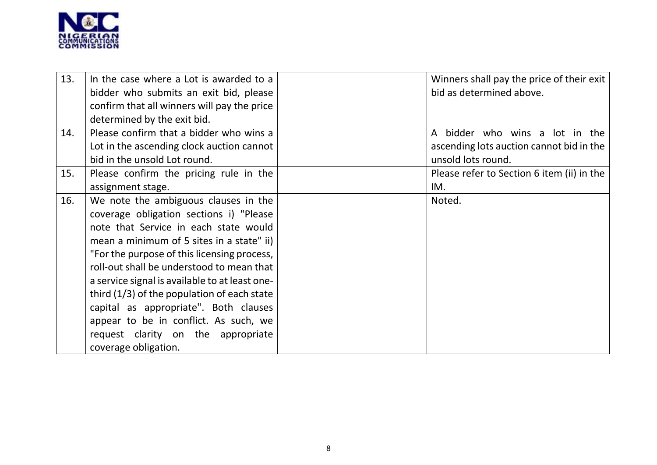

| 13. | In the case where a Lot is awarded to a        | Winners shall pay the price of their exit  |
|-----|------------------------------------------------|--------------------------------------------|
|     | bidder who submits an exit bid, please         | bid as determined above.                   |
|     | confirm that all winners will pay the price    |                                            |
|     | determined by the exit bid.                    |                                            |
| 14. | Please confirm that a bidder who wins a        | bidder who wins a lot in the<br>A          |
|     | Lot in the ascending clock auction cannot      | ascending lots auction cannot bid in the   |
|     | bid in the unsold Lot round.                   | unsold lots round.                         |
| 15. | Please confirm the pricing rule in the         | Please refer to Section 6 item (ii) in the |
|     | assignment stage.                              | IM.                                        |
| 16. | We note the ambiguous clauses in the           | Noted.                                     |
|     | coverage obligation sections i) "Please        |                                            |
|     | note that Service in each state would          |                                            |
|     | mean a minimum of 5 sites in a state" ii)      |                                            |
|     | "For the purpose of this licensing process,    |                                            |
|     | roll-out shall be understood to mean that      |                                            |
|     | a service signal is available to at least one- |                                            |
|     | third $(1/3)$ of the population of each state  |                                            |
|     | capital as appropriate". Both clauses          |                                            |
|     | appear to be in conflict. As such, we          |                                            |
|     | request clarity on the appropriate             |                                            |
|     | coverage obligation.                           |                                            |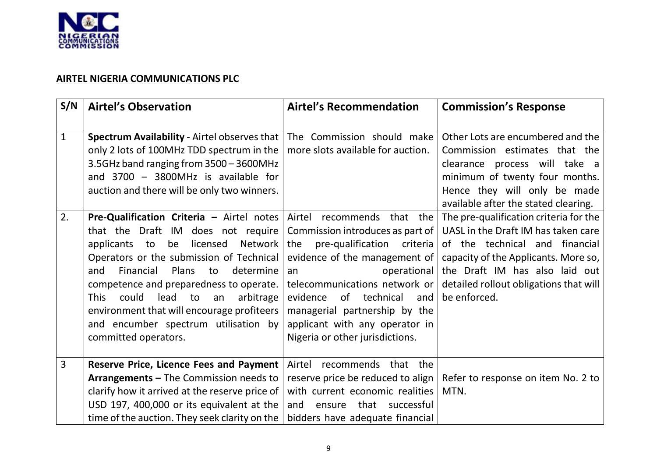

### **AIRTEL NIGERIA COMMUNICATIONS PLC**

| S/N                | <b>Airtel's Observation</b>                                                                                                                                                                                                                                                                                                                                                                 | <b>Airtel's Recommendation</b>                                                                                                                                                                                                                                                                        | <b>Commission's Response</b>                                                                                                                                                                                                                            |
|--------------------|---------------------------------------------------------------------------------------------------------------------------------------------------------------------------------------------------------------------------------------------------------------------------------------------------------------------------------------------------------------------------------------------|-------------------------------------------------------------------------------------------------------------------------------------------------------------------------------------------------------------------------------------------------------------------------------------------------------|---------------------------------------------------------------------------------------------------------------------------------------------------------------------------------------------------------------------------------------------------------|
| $\mathbf{1}$<br>2. | Spectrum Availability - Airtel observes that  <br>only 2 lots of 100MHz TDD spectrum in the<br>3.5GHz band ranging from 3500 - 3600MHz<br>and $3700 - 3800$ MHz is available for<br>auction and there will be only two winners.<br>Pre-Qualification Criteria - Airtel notes                                                                                                                | The Commission should make<br>more slots available for auction.<br>Airtel recommends that the                                                                                                                                                                                                         | Other Lots are encumbered and the<br>Commission estimates that the<br>clearance process will take a<br>minimum of twenty four months.<br>Hence they will only be made<br>available after the stated clearing.<br>The pre-qualification criteria for the |
|                    | that the Draft IM does not require<br>be<br>licensed Network<br>applicants to<br>Operators or the submission of Technical<br>Financial<br>Plans<br>determine<br>and<br>to<br>competence and preparedness to operate.<br>could<br>lead<br>arbitrage<br><b>This</b><br>to<br>an<br>environment that will encourage profiteers<br>and encumber spectrum utilisation by<br>committed operators. | Commission introduces as part of<br>the pre-qualification criteria<br>evidence of the management of<br>operational<br>an<br>telecommunications network or<br>of<br>evidence<br>technical<br>and<br>managerial partnership by the<br>applicant with any operator in<br>Nigeria or other jurisdictions. | UASL in the Draft IM has taken care<br>of the technical and financial<br>capacity of the Applicants. More so,<br>the Draft IM has also laid out<br>detailed rollout obligations that will<br>be enforced.                                               |
| $\overline{3}$     | Reserve Price, Licence Fees and Payment<br><b>Arrangements - The Commission needs to  </b><br>clarify how it arrived at the reserve price of<br>USD 197, 400,000 or its equivalent at the<br>time of the auction. They seek clarity on the $ $                                                                                                                                              | Airtel recommends that the<br>reserve price be reduced to align<br>with current economic realities<br>that successful<br>and<br>ensure<br>bidders have adequate financial                                                                                                                             | Refer to response on item No. 2 to<br>MTN.                                                                                                                                                                                                              |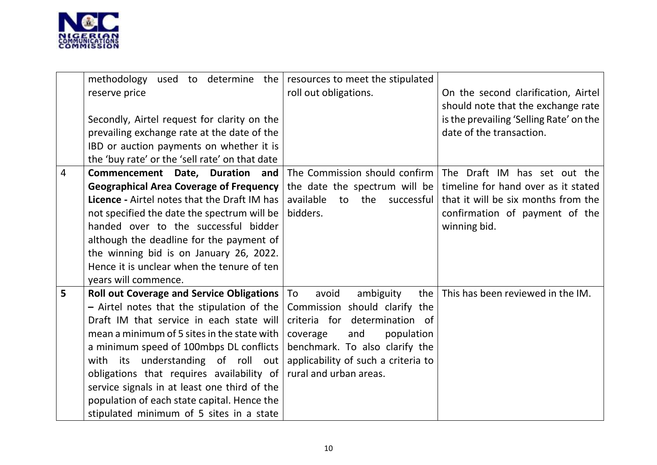

|                | used to determine the<br>methodology                | resources to meet the stipulated     |                                         |
|----------------|-----------------------------------------------------|--------------------------------------|-----------------------------------------|
|                | reserve price                                       | roll out obligations.                | On the second clarification, Airtel     |
|                |                                                     |                                      | should note that the exchange rate      |
|                | Secondly, Airtel request for clarity on the         |                                      | is the prevailing 'Selling Rate' on the |
|                | prevailing exchange rate at the date of the         |                                      | date of the transaction.                |
|                | IBD or auction payments on whether it is            |                                      |                                         |
|                | the 'buy rate' or the 'sell rate' on that date      |                                      |                                         |
| $\overline{4}$ | Commencement Date, Duration and                     | The Commission should confirm        | The Draft IM has set out the            |
|                | <b>Geographical Area Coverage of Frequency</b>      | the date the spectrum will be        | timeline for hand over as it stated     |
|                | <b>Licence - Airtel notes that the Draft IM has</b> | available<br>the<br>successful<br>to | that it will be six months from the     |
|                | not specified the date the spectrum will be         | bidders.                             | confirmation of payment of the          |
|                | handed over to the successful bidder                |                                      | winning bid.                            |
|                | although the deadline for the payment of            |                                      |                                         |
|                | the winning bid is on January 26, 2022.             |                                      |                                         |
|                | Hence it is unclear when the tenure of ten          |                                      |                                         |
|                | years will commence.                                |                                      |                                         |
| 5              | Roll out Coverage and Service Obligations           | avoid<br>ambiguity<br>the<br>To      | This has been reviewed in the IM.       |
|                | - Airtel notes that the stipulation of the          | Commission should clarify the        |                                         |
|                | Draft IM that service in each state will            | criteria for determination of        |                                         |
|                | mean a minimum of 5 sites in the state with         | and<br>population<br>coverage        |                                         |
|                | a minimum speed of 100mbps DL conflicts             | benchmark. To also clarify the       |                                         |
|                | with its understanding of roll out                  | applicability of such a criteria to  |                                         |
|                | obligations that requires availability of           | rural and urban areas.               |                                         |
|                | service signals in at least one third of the        |                                      |                                         |
|                | population of each state capital. Hence the         |                                      |                                         |
|                | stipulated minimum of 5 sites in a state            |                                      |                                         |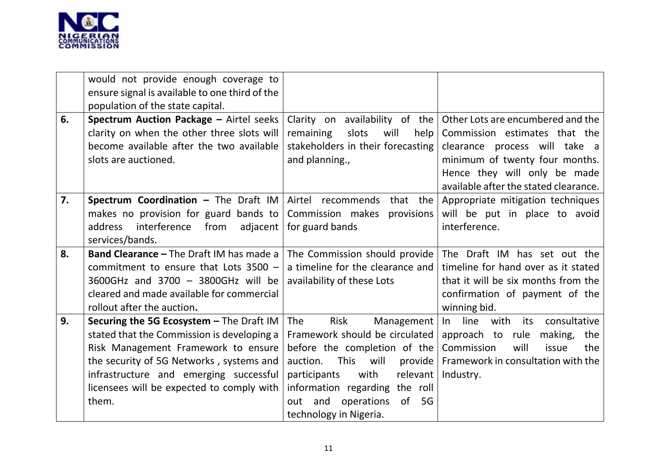

|    | would not provide enough coverage to<br>ensure signal is available to one third of the<br>population of the state capital.                                                                                                                                                |                                                                                                                                                                                                                                                                         |                                                                                                                                                                                                                                               |
|----|---------------------------------------------------------------------------------------------------------------------------------------------------------------------------------------------------------------------------------------------------------------------------|-------------------------------------------------------------------------------------------------------------------------------------------------------------------------------------------------------------------------------------------------------------------------|-----------------------------------------------------------------------------------------------------------------------------------------------------------------------------------------------------------------------------------------------|
| 6. | Spectrum Auction Package - Airtel seeks<br>clarity on when the other three slots will<br>become available after the two available<br>slots are auctioned.                                                                                                                 | remaining<br>slots<br>will<br>help $ $<br>stakeholders in their forecasting<br>and planning.,                                                                                                                                                                           | Clarity on availability of the Other Lots are encumbered and the<br>Commission estimates that the<br>clearance process will take a<br>minimum of twenty four months.<br>Hence they will only be made<br>available after the stated clearance. |
| 7. | <b>Spectrum Coordination -</b> The Draft IM $\vert$ Airtel recommends that the $\vert$<br>makes no provision for guard bands to Commission makes<br>interference<br>from<br>address<br>services/bands.                                                                    | provisions<br>adjacent   for guard bands                                                                                                                                                                                                                                | Appropriate mitigation techniques<br>will be put in place to avoid<br>interference.                                                                                                                                                           |
| 8. | <b>Band Clearance - The Draft IM has made a</b><br>commitment to ensure that Lots $3500 -$<br>3600GHz and 3700 - 3800GHz will be<br>cleared and made available for commercial<br>rollout after the auction.                                                               | The Commission should provide<br>a timeline for the clearance and<br>availability of these Lots                                                                                                                                                                         | The Draft IM has set out the<br>timeline for hand over as it stated<br>that it will be six months from the<br>confirmation of payment of the<br>winning bid.                                                                                  |
| 9. | Securing the 5G Ecosystem - The Draft IM<br>stated that the Commission is developing a<br>Risk Management Framework to ensure<br>the security of 5G Networks, systems and<br>infrastructure and emerging successful<br>licensees will be expected to comply with<br>them. | Risk<br><b>The</b><br>Framework should be circulated<br>before the completion of the<br><b>This</b><br>auction.<br>will<br>provide<br>relevant<br>participants<br>with<br>information regarding the roll<br>operations<br>of<br>out and<br>5G<br>technology in Nigeria. | Management   In line with<br>consultative<br>its<br>approach to rule<br>making,<br>the<br>Commission<br>will<br>issue<br>the<br>Framework in consultation with the<br>Industry.                                                               |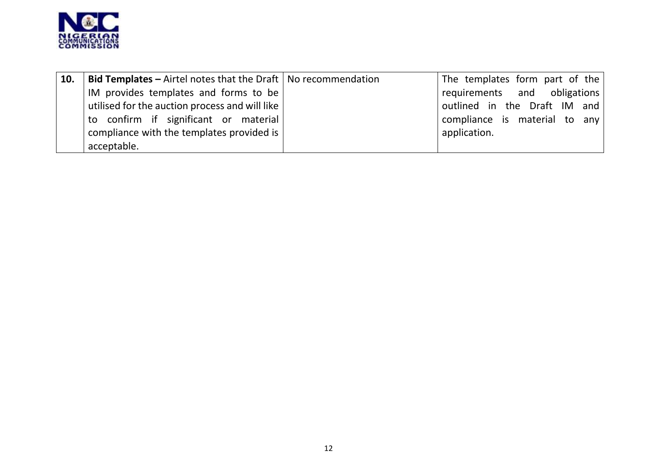

| 10. | <b>Bid Templates –</b> Airtel notes that the Draft   No recommendation | The templates form part of the |
|-----|------------------------------------------------------------------------|--------------------------------|
|     | IM provides templates and forms to be                                  | requirements and obligations   |
|     | utilised for the auction process and will like                         | outlined in the Draft IM and   |
|     | to confirm if significant or material                                  | compliance is material to any  |
|     | compliance with the templates provided is $\vert$                      | application.                   |
|     | acceptable.                                                            |                                |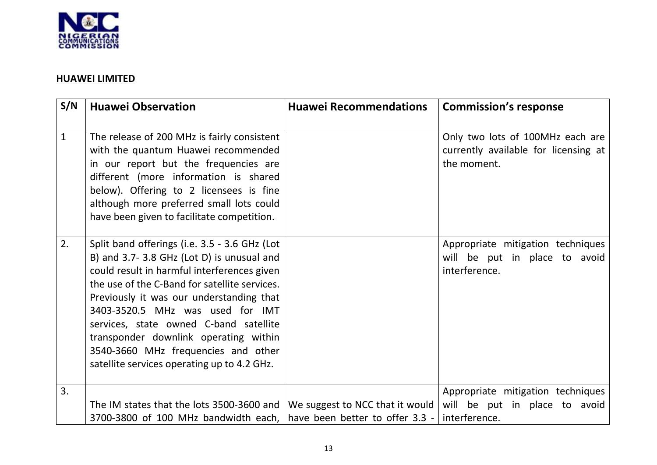

## **HUAWEI LIMITED**

| S/N          | <b>Huawei Observation</b>                                                                                                                                                                                                                                                                                                                                                                                                                           | <b>Huawei Recommendations</b>   | <b>Commission's response</b>                                                            |
|--------------|-----------------------------------------------------------------------------------------------------------------------------------------------------------------------------------------------------------------------------------------------------------------------------------------------------------------------------------------------------------------------------------------------------------------------------------------------------|---------------------------------|-----------------------------------------------------------------------------------------|
| $\mathbf{1}$ | The release of 200 MHz is fairly consistent<br>with the quantum Huawei recommended<br>in our report but the frequencies are<br>different (more information is shared<br>below). Offering to 2 licensees is fine<br>although more preferred small lots could<br>have been given to facilitate competition.                                                                                                                                           |                                 | Only two lots of 100MHz each are<br>currently available for licensing at<br>the moment. |
| 2.           | Split band offerings (i.e. 3.5 - 3.6 GHz (Lot<br>B) and 3.7-3.8 GHz (Lot D) is unusual and<br>could result in harmful interferences given<br>the use of the C-Band for satellite services.<br>Previously it was our understanding that<br>3403-3520.5 MHz was used for IMT<br>services, state owned C-band satellite<br>transponder downlink operating within<br>3540-3660 MHz frequencies and other<br>satellite services operating up to 4.2 GHz. |                                 | Appropriate mitigation techniques<br>will be put in place to avoid<br>interference.     |
| 3.           | The IM states that the lots 3500-3600 and                                                                                                                                                                                                                                                                                                                                                                                                           | We suggest to NCC that it would | Appropriate mitigation techniques<br>will be put in place to avoid                      |
|              | 3700-3800 of 100 MHz bandwidth each,   have been better to offer 3.3 -                                                                                                                                                                                                                                                                                                                                                                              |                                 | interference.                                                                           |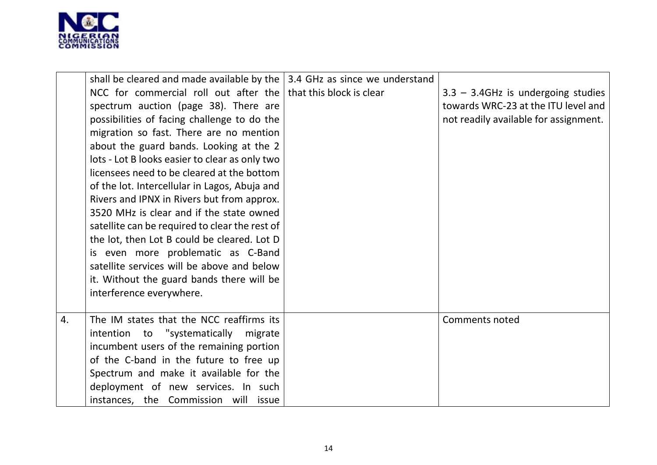

|    | shall be cleared and made available by the<br>NCC for commercial roll out after the<br>spectrum auction (page 38). There are<br>possibilities of facing challenge to do the<br>migration so fast. There are no mention<br>about the guard bands. Looking at the 2<br>lots - Lot B looks easier to clear as only two<br>licensees need to be cleared at the bottom<br>of the lot. Intercellular in Lagos, Abuja and<br>Rivers and IPNX in Rivers but from approx.<br>3520 MHz is clear and if the state owned<br>satellite can be required to clear the rest of<br>the lot, then Lot B could be cleared. Lot D<br>is even more problematic as C-Band<br>satellite services will be above and below | 3.4 GHz as since we understand<br>that this block is clear | $3.3 - 3.4$ GHz is undergoing studies<br>towards WRC-23 at the ITU level and<br>not readily available for assignment. |
|----|---------------------------------------------------------------------------------------------------------------------------------------------------------------------------------------------------------------------------------------------------------------------------------------------------------------------------------------------------------------------------------------------------------------------------------------------------------------------------------------------------------------------------------------------------------------------------------------------------------------------------------------------------------------------------------------------------|------------------------------------------------------------|-----------------------------------------------------------------------------------------------------------------------|
|    | it. Without the guard bands there will be<br>interference everywhere.                                                                                                                                                                                                                                                                                                                                                                                                                                                                                                                                                                                                                             |                                                            |                                                                                                                       |
| 4. | The IM states that the NCC reaffirms its<br>intention to "systematically migrate<br>incumbent users of the remaining portion<br>of the C-band in the future to free up<br>Spectrum and make it available for the<br>deployment of new services. In such<br>instances, the Commission will issue                                                                                                                                                                                                                                                                                                                                                                                                   |                                                            | Comments noted                                                                                                        |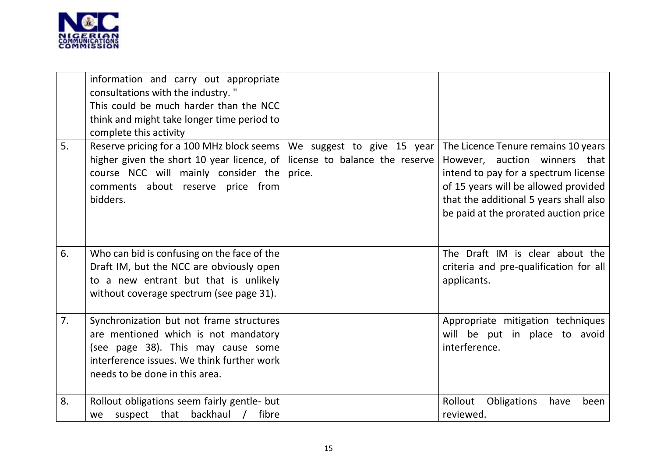

|    | information and carry out appropriate<br>consultations with the industry."<br>This could be much harder than the NCC<br>think and might take longer time period to<br>complete this activity           |                                          |                                                                                                                                                                                                                                                                    |
|----|--------------------------------------------------------------------------------------------------------------------------------------------------------------------------------------------------------|------------------------------------------|--------------------------------------------------------------------------------------------------------------------------------------------------------------------------------------------------------------------------------------------------------------------|
| 5. | Reserve pricing for a 100 MHz block seems  <br>higher given the short 10 year licence, of<br>course NCC will mainly consider the<br>comments about reserve price from<br>bidders.                      | license to balance the reserve<br>price. | We suggest to give 15 year The Licence Tenure remains 10 years<br>However, auction winners that<br>intend to pay for a spectrum license<br>of 15 years will be allowed provided<br>that the additional 5 years shall also<br>be paid at the prorated auction price |
| 6. | Who can bid is confusing on the face of the<br>Draft IM, but the NCC are obviously open<br>to a new entrant but that is unlikely<br>without coverage spectrum (see page 31).                           |                                          | The Draft IM is clear about the<br>criteria and pre-qualification for all<br>applicants.                                                                                                                                                                           |
| 7. | Synchronization but not frame structures<br>are mentioned which is not mandatory<br>(see page 38). This may cause some<br>interference issues. We think further work<br>needs to be done in this area. |                                          | Appropriate mitigation techniques<br>will be put in place to avoid<br>interference.                                                                                                                                                                                |
| 8. | Rollout obligations seem fairly gentle- but<br>backhaul<br>suspect that<br>fibre<br>we                                                                                                                 |                                          | Rollout<br>Obligations<br>have<br>been<br>reviewed.                                                                                                                                                                                                                |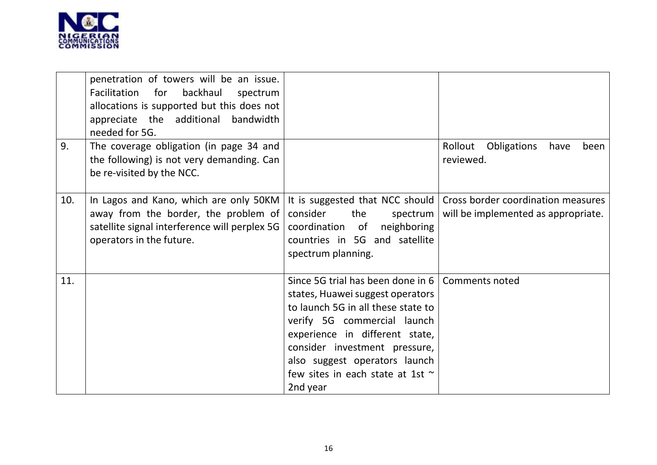

|     | penetration of towers will be an issue.<br>backhaul<br>Facilitation for<br>spectrum<br>allocations is supported but this does not<br>appreciate the additional<br>bandwidth<br>needed for 5G. |                                                                                                                                                                                                                                                                                                |                                                                           |
|-----|-----------------------------------------------------------------------------------------------------------------------------------------------------------------------------------------------|------------------------------------------------------------------------------------------------------------------------------------------------------------------------------------------------------------------------------------------------------------------------------------------------|---------------------------------------------------------------------------|
| 9.  | The coverage obligation (in page 34 and<br>the following) is not very demanding. Can<br>be re-visited by the NCC.                                                                             |                                                                                                                                                                                                                                                                                                | Rollout<br>Obligations<br>have<br>been<br>reviewed.                       |
| 10. | In Lagos and Kano, which are only 50KM<br>away from the border, the problem of<br>satellite signal interference will perplex 5G<br>operators in the future.                                   | It is suggested that NCC should<br>consider<br>the<br>spectrum<br>coordination of<br>neighboring<br>countries in 5G and satellite<br>spectrum planning.                                                                                                                                        | Cross border coordination measures<br>will be implemented as appropriate. |
| 11. |                                                                                                                                                                                               | Since 5G trial has been done in 6<br>states, Huawei suggest operators<br>to launch 5G in all these state to<br>verify 5G commercial launch<br>experience in different state,<br>consider investment pressure,<br>also suggest operators launch<br>few sites in each state at 1st ~<br>2nd year | <b>Comments noted</b>                                                     |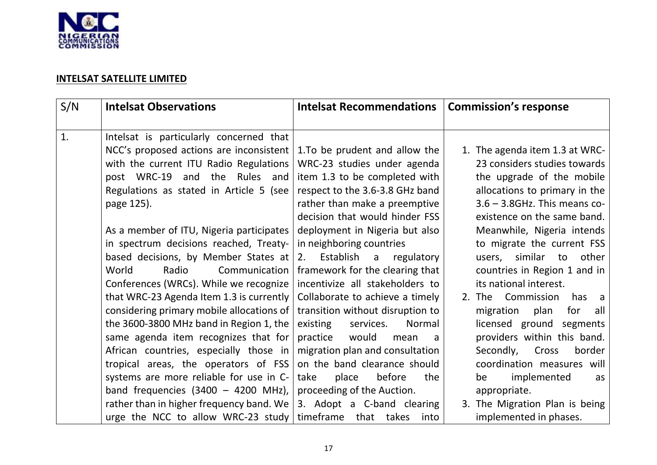

## **INTELSAT SATELLITE LIMITED**

| S/N | <b>Intelsat Observations</b>                                                                                                                                                                                                                                                                                                                                                                                                                                                                                                                                          | <b>Intelsat Recommendations</b>                                                                                                                                                                                                                                                                                                                                                                                                                                                    | <b>Commission's response</b>                                                                                                                                                                                                                                                                                                                                                                                                                    |
|-----|-----------------------------------------------------------------------------------------------------------------------------------------------------------------------------------------------------------------------------------------------------------------------------------------------------------------------------------------------------------------------------------------------------------------------------------------------------------------------------------------------------------------------------------------------------------------------|------------------------------------------------------------------------------------------------------------------------------------------------------------------------------------------------------------------------------------------------------------------------------------------------------------------------------------------------------------------------------------------------------------------------------------------------------------------------------------|-------------------------------------------------------------------------------------------------------------------------------------------------------------------------------------------------------------------------------------------------------------------------------------------------------------------------------------------------------------------------------------------------------------------------------------------------|
| 1.  | Intelsat is particularly concerned that<br>NCC's proposed actions are inconsistent<br>with the current ITU Radio Regulations<br>post WRC-19 and the Rules and<br>Regulations as stated in Article 5 (see<br>page 125).<br>As a member of ITU, Nigeria participates<br>in spectrum decisions reached, Treaty-<br>based decisions, by Member States at<br>Radio<br>World<br>Communication<br>Conferences (WRCs). While we recognize<br>that WRC-23 Agenda Item 1.3 is currently<br>considering primary mobile allocations of<br>the 3600-3800 MHz band in Region 1, the | 1. To be prudent and allow the<br>WRC-23 studies under agenda<br>item 1.3 to be completed with<br>respect to the 3.6-3.8 GHz band<br>rather than make a preemptive<br>decision that would hinder FSS<br>deployment in Nigeria but also<br>in neighboring countries<br>2. Establish a<br>regulatory<br>framework for the clearing that<br>incentivize all stakeholders to<br>Collaborate to achieve a timely<br>transition without disruption to<br>existing<br>services.<br>Normal | 1. The agenda item 1.3 at WRC-<br>23 considers studies towards<br>the upgrade of the mobile<br>allocations to primary in the<br>$3.6 - 3.8$ GHz. This means co-<br>existence on the same band.<br>Meanwhile, Nigeria intends<br>to migrate the current FSS<br>other<br>users, similar to<br>countries in Region 1 and in<br>its national interest.<br>2. The Commission<br>has a<br>for<br>migration<br>plan<br>all<br>licensed ground segments |
|     | same agenda item recognizes that for                                                                                                                                                                                                                                                                                                                                                                                                                                                                                                                                  | practice<br>would<br>mean<br>a                                                                                                                                                                                                                                                                                                                                                                                                                                                     | providers within this band.                                                                                                                                                                                                                                                                                                                                                                                                                     |
|     | African countries, especially those in<br>tropical areas, the operators of FSS                                                                                                                                                                                                                                                                                                                                                                                                                                                                                        | migration plan and consultation<br>on the band clearance should                                                                                                                                                                                                                                                                                                                                                                                                                    | Secondly,<br>Cross<br>border<br>coordination measures will                                                                                                                                                                                                                                                                                                                                                                                      |
|     | systems are more reliable for use in C-<br>band frequencies $(3400 - 4200 \text{ MHz})$ ,<br>rather than in higher frequency band. We $\vert$ 3. Adopt a C-band clearing                                                                                                                                                                                                                                                                                                                                                                                              | before<br>place<br>the<br>take<br>proceeding of the Auction.                                                                                                                                                                                                                                                                                                                                                                                                                       | implemented<br>be<br>as<br>appropriate.<br>The Migration Plan is being<br>3.                                                                                                                                                                                                                                                                                                                                                                    |
|     | urge the NCC to allow WRC-23 study timeframe that takes                                                                                                                                                                                                                                                                                                                                                                                                                                                                                                               | into                                                                                                                                                                                                                                                                                                                                                                                                                                                                               | implemented in phases.                                                                                                                                                                                                                                                                                                                                                                                                                          |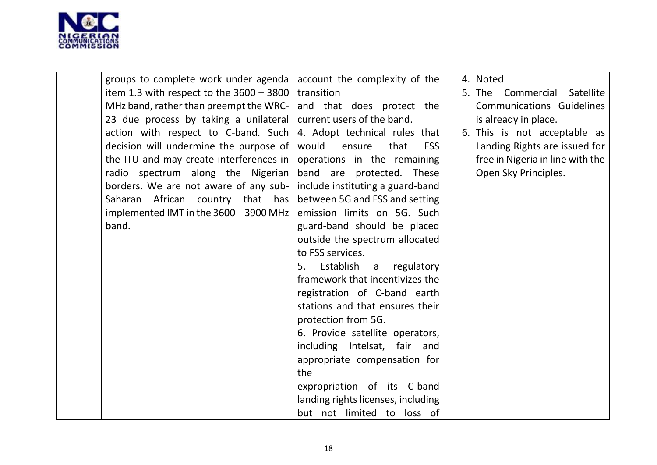

| groups to complete work under agenda       | account the complexity of the         | 4. Noted                         |
|--------------------------------------------|---------------------------------------|----------------------------------|
| item 1.3 with respect to the $3600 - 3800$ | transition                            | Commercial Satellite<br>5. The   |
| MHz band, rather than preempt the WRC-     | and that does protect the             | <b>Communications Guidelines</b> |
| 23 due process by taking a unilateral      | current users of the band.            | is already in place.             |
| action with respect to C-band. Such        | 4. Adopt technical rules that         | 6. This is not acceptable as     |
| decision will undermine the purpose of     | would<br>that<br><b>FSS</b><br>ensure | Landing Rights are issued for    |
| the ITU and may create interferences in    | operations in the remaining           | free in Nigeria in line with the |
| radio spectrum along the Nigerian          | band are protected. These             | Open Sky Principles.             |
| borders. We are not aware of any sub-      | include instituting a guard-band      |                                  |
| Saharan African country that has           | between 5G and FSS and setting        |                                  |
| implemented IMT in the 3600 - 3900 MHz     | emission limits on 5G. Such           |                                  |
| band.                                      | guard-band should be placed           |                                  |
|                                            | outside the spectrum allocated        |                                  |
|                                            | to FSS services.                      |                                  |
|                                            | 5.<br>Establish a<br>regulatory       |                                  |
|                                            | framework that incentivizes the       |                                  |
|                                            | registration of C-band earth          |                                  |
|                                            | stations and that ensures their       |                                  |
|                                            | protection from 5G.                   |                                  |
|                                            | 6. Provide satellite operators,       |                                  |
|                                            | including Intelsat, fair and          |                                  |
|                                            | appropriate compensation for          |                                  |
|                                            | the                                   |                                  |
|                                            | expropriation of its C-band           |                                  |
|                                            | landing rights licenses, including    |                                  |
|                                            | but not limited to loss of            |                                  |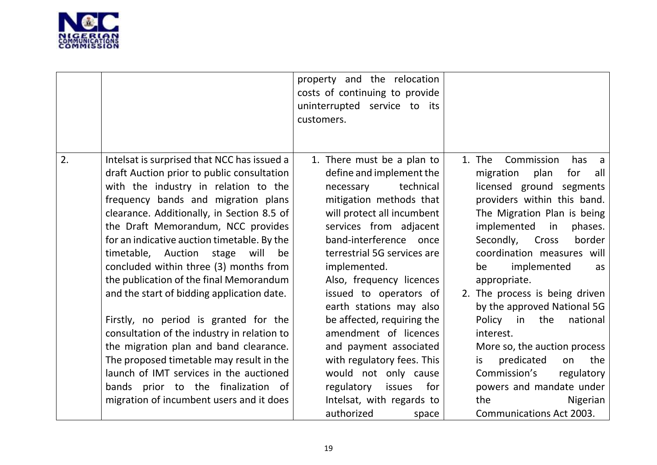

|    |                                                                                                                                                                                                                                                                                                                                                                                                                                                                                                                                                                                                                                                                                                                                                      | property and the relocation<br>costs of continuing to provide<br>uninterrupted service to its<br>customers.                                                                                                                                                                                                                                                                                                                                                                                         |                                                                                                                                                                                                                                                                                                                                                                                                                                                                                                                                              |
|----|------------------------------------------------------------------------------------------------------------------------------------------------------------------------------------------------------------------------------------------------------------------------------------------------------------------------------------------------------------------------------------------------------------------------------------------------------------------------------------------------------------------------------------------------------------------------------------------------------------------------------------------------------------------------------------------------------------------------------------------------------|-----------------------------------------------------------------------------------------------------------------------------------------------------------------------------------------------------------------------------------------------------------------------------------------------------------------------------------------------------------------------------------------------------------------------------------------------------------------------------------------------------|----------------------------------------------------------------------------------------------------------------------------------------------------------------------------------------------------------------------------------------------------------------------------------------------------------------------------------------------------------------------------------------------------------------------------------------------------------------------------------------------------------------------------------------------|
| 2. | Intelsat is surprised that NCC has issued a<br>draft Auction prior to public consultation<br>with the industry in relation to the<br>frequency bands and migration plans<br>clearance. Additionally, in Section 8.5 of<br>the Draft Memorandum, NCC provides<br>for an indicative auction timetable. By the<br>timetable, Auction stage will<br>be<br>concluded within three (3) months from<br>the publication of the final Memorandum<br>and the start of bidding application date.<br>Firstly, no period is granted for the<br>consultation of the industry in relation to<br>the migration plan and band clearance.<br>The proposed timetable may result in the<br>launch of IMT services in the auctioned<br>bands prior to the finalization of | 1. There must be a plan to<br>define and implement the<br>technical<br>necessary<br>mitigation methods that<br>will protect all incumbent<br>services from adjacent<br>band-interference once<br>terrestrial 5G services are<br>implemented.<br>Also, frequency licences<br>issued to operators of<br>earth stations may also<br>be affected, requiring the<br>amendment of licences<br>and payment associated<br>with regulatory fees. This<br>would not only cause<br>regulatory<br>issues<br>for | 1. The<br>Commission<br>has<br>a<br>migration<br>plan<br>for<br>all<br>licensed ground segments<br>providers within this band.<br>The Migration Plan is being<br>implemented<br>in<br>phases.<br>Secondly,<br>Cross<br>border<br>coordination measures will<br>implemented<br>be<br>as<br>appropriate.<br>2. The process is being driven<br>by the approved National 5G<br>Policy in the<br>national<br>interest.<br>More so, the auction process<br>predicated<br>the<br>is<br>on<br>Commission's<br>regulatory<br>powers and mandate under |
|    | migration of incumbent users and it does                                                                                                                                                                                                                                                                                                                                                                                                                                                                                                                                                                                                                                                                                                             | Intelsat, with regards to<br>authorized<br>space                                                                                                                                                                                                                                                                                                                                                                                                                                                    | Nigerian<br>the<br><b>Communications Act 2003.</b>                                                                                                                                                                                                                                                                                                                                                                                                                                                                                           |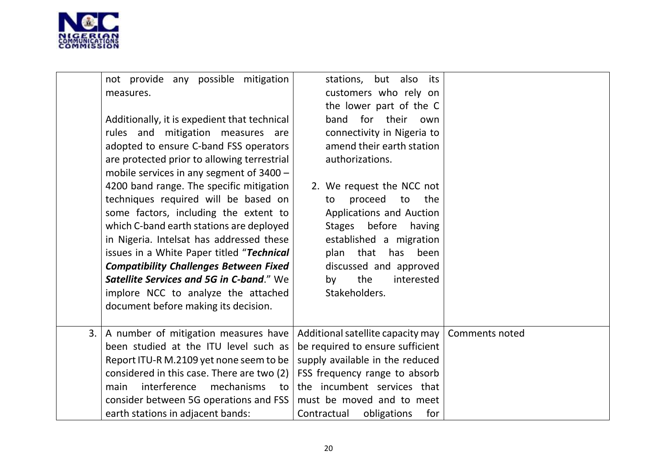

|     | not provide any possible mitigation<br>measures.<br>Additionally, it is expedient that technical<br>rules and mitigation measures are<br>adopted to ensure C-band FSS operators<br>are protected prior to allowing terrestrial<br>mobile services in any segment of $3400 -$<br>4200 band range. The specific mitigation<br>techniques required will be based on<br>some factors, including the extent to<br>which C-band earth stations are deployed<br>in Nigeria. Intelsat has addressed these<br>issues in a White Paper titled "Technical<br><b>Compatibility Challenges Between Fixed</b><br><b>Satellite Services and 5G in C-band." We</b><br>implore NCC to analyze the attached<br>document before making its decision. | but also<br>stations,<br>its<br>customers who rely on<br>the lower part of the C<br>for their<br>band<br>own<br>connectivity in Nigeria to<br>amend their earth station<br>authorizations.<br>2. We request the NCC not<br>proceed<br>to<br>the<br>to<br>Applications and Auction<br>Stages before<br>having<br>established a migration<br>plan that<br>has<br>been<br>discussed and approved<br>the<br>interested<br>by<br>Stakeholders. |                       |
|-----|-----------------------------------------------------------------------------------------------------------------------------------------------------------------------------------------------------------------------------------------------------------------------------------------------------------------------------------------------------------------------------------------------------------------------------------------------------------------------------------------------------------------------------------------------------------------------------------------------------------------------------------------------------------------------------------------------------------------------------------|-------------------------------------------------------------------------------------------------------------------------------------------------------------------------------------------------------------------------------------------------------------------------------------------------------------------------------------------------------------------------------------------------------------------------------------------|-----------------------|
| 3.1 | A number of mitigation measures have<br>been studied at the ITU level such as<br>Report ITU-R M.2109 yet none seem to be<br>considered in this case. There are two (2)<br>interference<br>mechanisms<br>main<br>to<br>consider between 5G operations and FSS<br>earth stations in adjacent bands:                                                                                                                                                                                                                                                                                                                                                                                                                                 | Additional satellite capacity may  <br>be required to ensure sufficient<br>supply available in the reduced<br>FSS frequency range to absorb<br>the incumbent services that<br>must be moved and to meet<br>for<br>Contractual<br>obligations                                                                                                                                                                                              | <b>Comments noted</b> |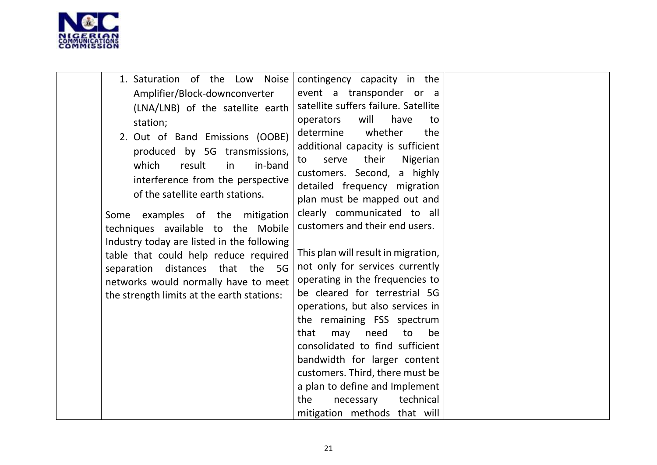

| 1. Saturation of the Low<br><b>Noise</b><br>Amplifier/Block-downconverter<br>(LNA/LNB) of the satellite earth<br>station;<br>2. Out of Band Emissions (OOBE)<br>produced by 5G transmissions,<br>in-band<br>which<br>result<br>in<br>interference from the perspective<br>of the satellite earth stations.<br>examples of the mitigation<br>Some<br>techniques available to the<br>Mobile<br>Industry today are listed in the following<br>table that could help reduce required<br>distances that<br>the<br>5G<br>separation<br>networks would normally have to meet<br>the strength limits at the earth stations: | contingency capacity in the<br>event a transponder or<br>$\overline{a}$<br>satellite suffers failure. Satellite<br>will<br>have<br>operators<br>to<br>determine<br>whether<br>the<br>additional capacity is sufficient<br>their<br>Nigerian<br>serve<br>to<br>customers. Second, a<br>highly<br>detailed frequency migration<br>plan must be mapped out and<br>clearly communicated to all<br>customers and their end users.<br>This plan will result in migration,<br>not only for services currently<br>operating in the frequencies to<br>be cleared for terrestrial 5G<br>operations, but also services in<br>the remaining FSS spectrum<br>that<br>to<br>may<br>need<br>be<br>consolidated to find sufficient<br>bandwidth for larger content |  |
|---------------------------------------------------------------------------------------------------------------------------------------------------------------------------------------------------------------------------------------------------------------------------------------------------------------------------------------------------------------------------------------------------------------------------------------------------------------------------------------------------------------------------------------------------------------------------------------------------------------------|----------------------------------------------------------------------------------------------------------------------------------------------------------------------------------------------------------------------------------------------------------------------------------------------------------------------------------------------------------------------------------------------------------------------------------------------------------------------------------------------------------------------------------------------------------------------------------------------------------------------------------------------------------------------------------------------------------------------------------------------------|--|
|                                                                                                                                                                                                                                                                                                                                                                                                                                                                                                                                                                                                                     | customers. Third, there must be<br>a plan to define and Implement                                                                                                                                                                                                                                                                                                                                                                                                                                                                                                                                                                                                                                                                                  |  |
|                                                                                                                                                                                                                                                                                                                                                                                                                                                                                                                                                                                                                     | technical<br>the<br>necessary<br>mitigation methods that will                                                                                                                                                                                                                                                                                                                                                                                                                                                                                                                                                                                                                                                                                      |  |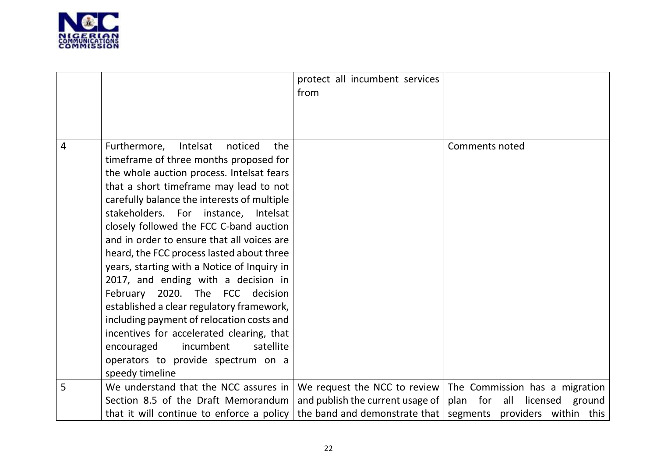

|   |                                                                                                                                                                                                                                                                                                                                                                                                                                                                                                                                                                                                                                                                                                                                                                           | protect all incumbent services<br>from                           |                                                                         |
|---|---------------------------------------------------------------------------------------------------------------------------------------------------------------------------------------------------------------------------------------------------------------------------------------------------------------------------------------------------------------------------------------------------------------------------------------------------------------------------------------------------------------------------------------------------------------------------------------------------------------------------------------------------------------------------------------------------------------------------------------------------------------------------|------------------------------------------------------------------|-------------------------------------------------------------------------|
| 4 | Furthermore,<br>Intelsat<br>noticed<br>the<br>timeframe of three months proposed for<br>the whole auction process. Intelsat fears<br>that a short timeframe may lead to not<br>carefully balance the interests of multiple<br>stakeholders. For instance, Intelsat<br>closely followed the FCC C-band auction<br>and in order to ensure that all voices are<br>heard, the FCC process lasted about three<br>years, starting with a Notice of Inquiry in<br>2017, and ending with a decision in<br>February 2020. The FCC decision<br>established a clear regulatory framework,<br>including payment of relocation costs and<br>incentives for accelerated clearing, that<br>satellite<br>encouraged<br>incumbent<br>operators to provide spectrum on a<br>speedy timeline |                                                                  | <b>Comments noted</b>                                                   |
| 5 | We understand that the NCC assures in<br>Section 8.5 of the Draft Memorandum                                                                                                                                                                                                                                                                                                                                                                                                                                                                                                                                                                                                                                                                                              | We request the NCC to review<br>and publish the current usage of | The Commission has a migration<br>plan for<br>all<br>licensed<br>ground |
|   | that it will continue to enforce a policy                                                                                                                                                                                                                                                                                                                                                                                                                                                                                                                                                                                                                                                                                                                                 | the band and demonstrate that                                    | segments providers within this                                          |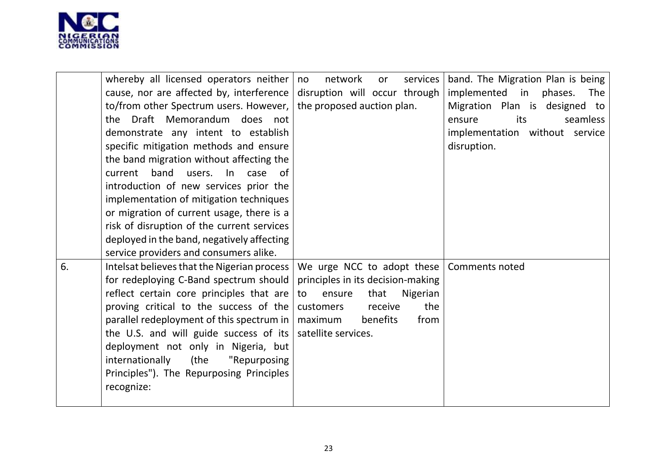

|    | whereby all licensed operators neither $ no $                          | network                           | or       | services | band. The Migration Plan is being                 |                       |  |
|----|------------------------------------------------------------------------|-----------------------------------|----------|----------|---------------------------------------------------|-----------------------|--|
|    | cause, nor are affected by, interference disruption will occur through |                                   |          |          | implemented in                                    | phases.<br><b>The</b> |  |
|    | to/from other Spectrum users. However, the proposed auction plan.      |                                   |          |          | Migration Plan is designed to                     |                       |  |
|    | the Draft Memorandum does not                                          |                                   |          |          | its<br>ensure                                     | seamless              |  |
|    | demonstrate any intent to establish                                    |                                   |          |          | implementation without service                    |                       |  |
|    | specific mitigation methods and ensure                                 |                                   |          |          | disruption.                                       |                       |  |
|    | the band migration without affecting the                               |                                   |          |          |                                                   |                       |  |
|    | band users.<br>In case<br>current<br>of                                |                                   |          |          |                                                   |                       |  |
|    | introduction of new services prior the                                 |                                   |          |          |                                                   |                       |  |
|    | implementation of mitigation techniques                                |                                   |          |          |                                                   |                       |  |
|    | or migration of current usage, there is a                              |                                   |          |          |                                                   |                       |  |
|    | risk of disruption of the current services                             |                                   |          |          |                                                   |                       |  |
|    | deployed in the band, negatively affecting                             |                                   |          |          |                                                   |                       |  |
|    | service providers and consumers alike.                                 |                                   |          |          |                                                   |                       |  |
| 6. | Intelsat believes that the Nigerian process                            |                                   |          |          | We urge NCC to adopt these $\vert$ Comments noted |                       |  |
|    | for redeploying C-Band spectrum should                                 | principles in its decision-making |          |          |                                                   |                       |  |
|    | reflect certain core principles that are $\vert$ to                    | ensure                            | that     | Nigerian |                                                   |                       |  |
|    | proving critical to the success of the $ $                             | customers                         | receive  | the      |                                                   |                       |  |
|    | parallel redeployment of this spectrum in $\vert$ maximum              |                                   | benefits | from     |                                                   |                       |  |
|    | the U.S. and will guide success of its                                 | satellite services.               |          |          |                                                   |                       |  |
|    | deployment not only in Nigeria, but                                    |                                   |          |          |                                                   |                       |  |
|    | internationally<br>(the<br>"Repurposing                                |                                   |          |          |                                                   |                       |  |
|    | Principles"). The Repurposing Principles                               |                                   |          |          |                                                   |                       |  |
|    | recognize:                                                             |                                   |          |          |                                                   |                       |  |
|    |                                                                        |                                   |          |          |                                                   |                       |  |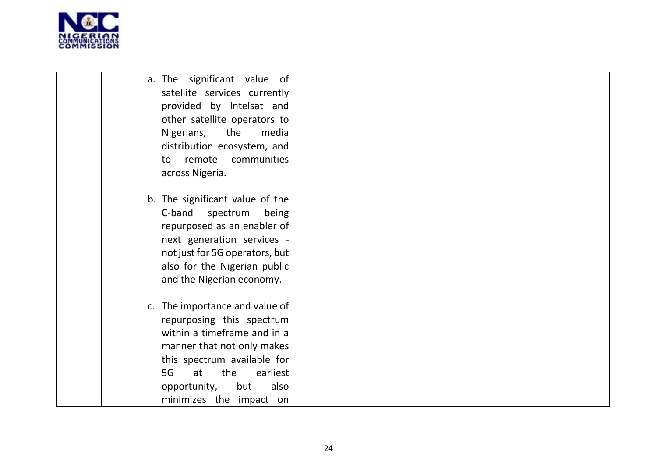

| a. The significant value of<br>satellite services currently<br>provided by Intelsat and<br>other satellite operators to<br>Nigerians,<br>the<br>media<br>distribution ecosystem, and<br>remote<br>communities<br>to<br>across Nigeria.           |  |  |
|--------------------------------------------------------------------------------------------------------------------------------------------------------------------------------------------------------------------------------------------------|--|--|
| b. The significant value of the<br>C-band<br>spectrum<br>being<br>repurposed as an enabler of<br>next generation services -<br>not just for 5G operators, but<br>also for the Nigerian public<br>and the Nigerian economy.                       |  |  |
| c. The importance and value of<br>repurposing this spectrum<br>within a timeframe and in a<br>manner that not only makes<br>this spectrum available for<br>earliest<br>5G<br>the<br>at<br>also<br>opportunity,<br>but<br>minimizes the impact on |  |  |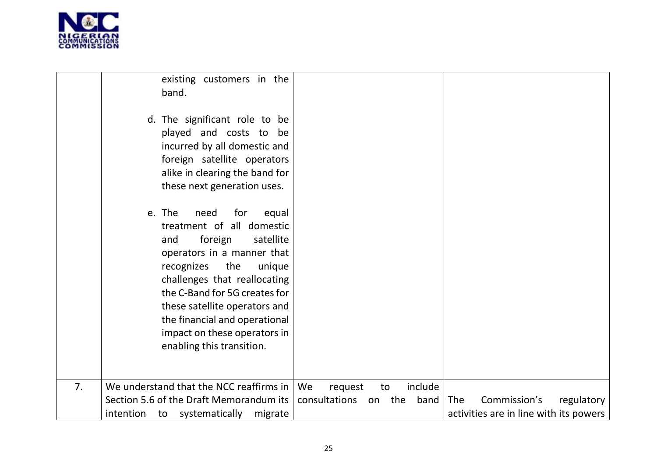

|    | existing customers in the<br>band.                                                                                                                                                                                                                                                                                                                      |                                 |                                          |
|----|---------------------------------------------------------------------------------------------------------------------------------------------------------------------------------------------------------------------------------------------------------------------------------------------------------------------------------------------------------|---------------------------------|------------------------------------------|
|    | d. The significant role to be<br>played and costs to be<br>incurred by all domestic and<br>foreign satellite operators<br>alike in clearing the band for<br>these next generation uses.                                                                                                                                                                 |                                 |                                          |
|    | e. The<br>for<br>need<br>equal<br>treatment of all domestic<br>satellite<br>foreign<br>and<br>operators in a manner that<br>the<br>recognizes<br>unique<br>challenges that reallocating<br>the C-Band for 5G creates for<br>these satellite operators and<br>the financial and operational<br>impact on these operators in<br>enabling this transition. |                                 |                                          |
| 7. | We understand that the NCC reaffirms in                                                                                                                                                                                                                                                                                                                 | We<br>request<br>include<br>to  |                                          |
|    | Section 5.6 of the Draft Memorandum its                                                                                                                                                                                                                                                                                                                 | consultations<br>on the<br>band | Commission's<br><b>The</b><br>regulatory |
|    | intention to systematically<br>migrate                                                                                                                                                                                                                                                                                                                  |                                 | activities are in line with its powers   |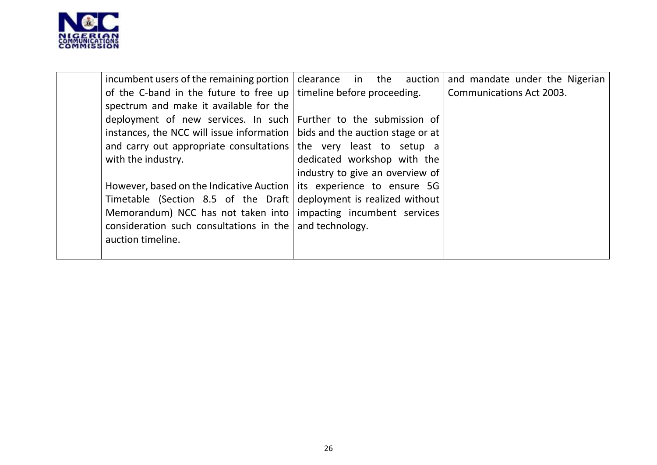

| incumbent users of the remaining portion $ $ clearance in the auction              | and mandate under the Nigerian  |
|------------------------------------------------------------------------------------|---------------------------------|
| of the C-band in the future to free up   timeline before proceeding.               | <b>Communications Act 2003.</b> |
| spectrum and make it available for the                                             |                                 |
| deployment of new services. In such                                                | Further to the submission of    |
| instances, the NCC will issue information $\vert$ bids and the auction stage or at |                                 |
| and carry out appropriate consultations                                            | the very least to setup a       |
| with the industry.                                                                 | dedicated workshop with the     |
|                                                                                    | industry to give an overview of |
| However, based on the Indicative Auction                                           | its experience to ensure 5G     |
| Timetable (Section 8.5 of the Draft                                                | deployment is realized without  |
| Memorandum) NCC has not taken into                                                 | impacting incumbent services    |
| consideration such consultations in the                                            | and technology.                 |
| auction timeline.                                                                  |                                 |
|                                                                                    |                                 |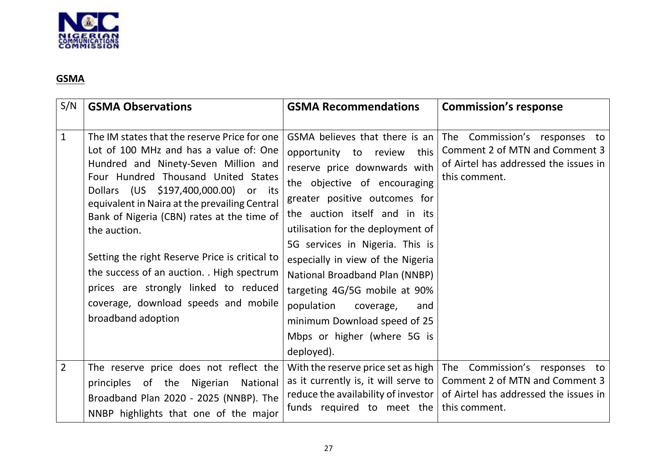

# **GSMA**

| S/N            | <b>GSMA Observations</b>                                                                                                                                                                                                                                                                                                                                                                                                                                                                                                               | <b>GSMA Recommendations</b>                                                                                                                                                                                                                                                                                                                                                                                                                                                                      | <b>Commission's response</b>                                                                                                                                    |
|----------------|----------------------------------------------------------------------------------------------------------------------------------------------------------------------------------------------------------------------------------------------------------------------------------------------------------------------------------------------------------------------------------------------------------------------------------------------------------------------------------------------------------------------------------------|--------------------------------------------------------------------------------------------------------------------------------------------------------------------------------------------------------------------------------------------------------------------------------------------------------------------------------------------------------------------------------------------------------------------------------------------------------------------------------------------------|-----------------------------------------------------------------------------------------------------------------------------------------------------------------|
| $\mathbf{1}$   | The IM states that the reserve Price for one<br>Lot of 100 MHz and has a value of: One<br>Hundred and Ninety-Seven Million and<br>Four Hundred Thousand United States<br>Dollars (US \$197,400,000.00)<br>or its<br>equivalent in Naira at the prevailing Central<br>Bank of Nigeria (CBN) rates at the time of<br>the auction.<br>Setting the right Reserve Price is critical to<br>the success of an auction. . High spectrum<br>prices are strongly linked to reduced<br>coverage, download speeds and mobile<br>broadband adoption | GSMA believes that there is an<br>opportunity to review<br>this<br>reserve price downwards with<br>the objective of encouraging<br>greater positive outcomes for<br>the auction itself and in its<br>utilisation for the deployment of<br>5G services in Nigeria. This is<br>especially in view of the Nigeria<br>National Broadband Plan (NNBP)<br>targeting 4G/5G mobile at 90%<br>population<br>coverage,<br>and<br>minimum Download speed of 25<br>Mbps or higher (where 5G is<br>deployed). | The Commission's responses to<br>Comment 2 of MTN and Comment 3<br>of Airtel has addressed the issues in<br>this comment.                                       |
| $\overline{2}$ | The reserve price does not reflect the<br>Nigerian<br>principles of the<br><b>National</b><br>Broadband Plan 2020 - 2025 (NNBP). The<br>NNBP highlights that one of the major                                                                                                                                                                                                                                                                                                                                                          | With the reserve price set as high<br>as it currently is, it will serve to<br>funds required to meet the                                                                                                                                                                                                                                                                                                                                                                                         | The Commission's responses to<br>Comment 2 of MTN and Comment 3<br>reduce the availability of investor   of Airtel has addressed the issues in<br>this comment. |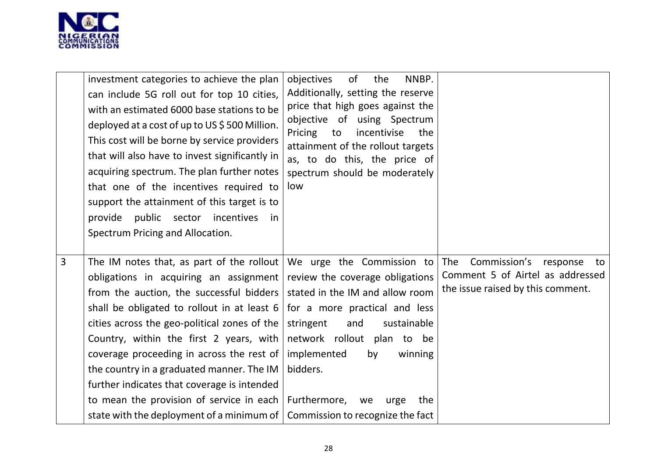

|                | investment categories to achieve the plan<br>can include 5G roll out for top 10 cities,<br>with an estimated 6000 base stations to be<br>deployed at a cost of up to US\$500 Million.<br>This cost will be borne by service providers<br>that will also have to invest significantly in<br>acquiring spectrum. The plan further notes<br>that one of the incentives required to<br>support the attainment of this target is to<br>public sector incentives<br>provide<br>in<br>Spectrum Pricing and Allocation. | objectives<br>of<br>the<br>NNBP.<br>Additionally, setting the reserve<br>price that high goes against the<br>objective of using Spectrum<br>Pricing<br>to<br>incentivise<br>the<br>attainment of the rollout targets<br>as, to do this, the price of<br>spectrum should be moderately<br>low                        |                                                                                                                |
|----------------|-----------------------------------------------------------------------------------------------------------------------------------------------------------------------------------------------------------------------------------------------------------------------------------------------------------------------------------------------------------------------------------------------------------------------------------------------------------------------------------------------------------------|---------------------------------------------------------------------------------------------------------------------------------------------------------------------------------------------------------------------------------------------------------------------------------------------------------------------|----------------------------------------------------------------------------------------------------------------|
| $\overline{3}$ | The IM notes that, as part of the rollout<br>obligations in acquiring an assignment<br>from the auction, the successful bidders<br>shall be obligated to rollout in at least 6<br>cities across the geo-political zones of the<br>Country, within the first 2 years, with<br>coverage proceeding in across the rest of<br>the country in a graduated manner. The IM<br>further indicates that coverage is intended<br>to mean the provision of service in each<br>state with the deployment of a minimum of $ $ | We urge the Commission to<br>review the coverage obligations<br>stated in the IM and allow room<br>for a more practical and less<br>sustainable<br>stringent<br>and<br>network rollout plan to be<br>implemented<br>by<br>winning<br>bidders.<br>Furthermore, we<br>urge<br>the<br>Commission to recognize the fact | Commission's<br>The<br>response<br>to<br>Comment 5 of Airtel as addressed<br>the issue raised by this comment. |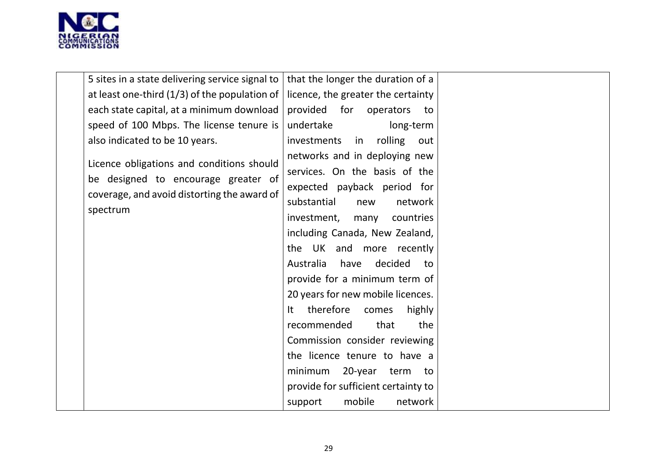

| 5 sites in a state delivering service signal to                                                                                             | that the longer the duration of a                                                                                                                                                                                                                                                                                                                                                                                                                                                                                                                         |
|---------------------------------------------------------------------------------------------------------------------------------------------|-----------------------------------------------------------------------------------------------------------------------------------------------------------------------------------------------------------------------------------------------------------------------------------------------------------------------------------------------------------------------------------------------------------------------------------------------------------------------------------------------------------------------------------------------------------|
| at least one-third $(1/3)$ of the population of                                                                                             | licence, the greater the certainty                                                                                                                                                                                                                                                                                                                                                                                                                                                                                                                        |
| each state capital, at a minimum download                                                                                                   | provided<br>for<br>operators<br>to                                                                                                                                                                                                                                                                                                                                                                                                                                                                                                                        |
| speed of 100 Mbps. The license tenure is                                                                                                    | undertake<br>long-term                                                                                                                                                                                                                                                                                                                                                                                                                                                                                                                                    |
| also indicated to be 10 years.                                                                                                              | rolling<br>investments<br>in<br>out                                                                                                                                                                                                                                                                                                                                                                                                                                                                                                                       |
| Licence obligations and conditions should<br>be designed to encourage greater of<br>coverage, and avoid distorting the award of<br>spectrum | networks and in deploying new<br>services. On the basis of the<br>expected payback period for<br>substantial<br>network<br>new<br>investment,<br>many countries<br>including Canada, New Zealand,<br>the UK and more recently<br>Australia<br>have<br>decided<br>to<br>provide for a minimum term of<br>20 years for new mobile licences.<br>therefore<br>highly<br>It<br>comes<br>recommended<br>the<br>that<br>Commission consider reviewing<br>the licence tenure to have a<br>minimum<br>20-year<br>term<br>to<br>provide for sufficient certainty to |
|                                                                                                                                             | mobile<br>network<br>support                                                                                                                                                                                                                                                                                                                                                                                                                                                                                                                              |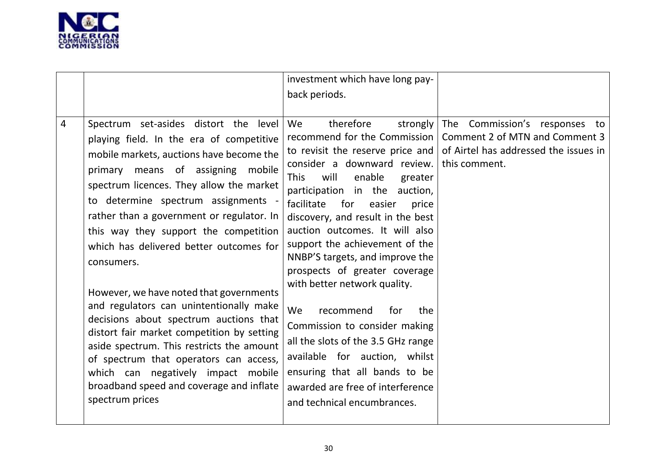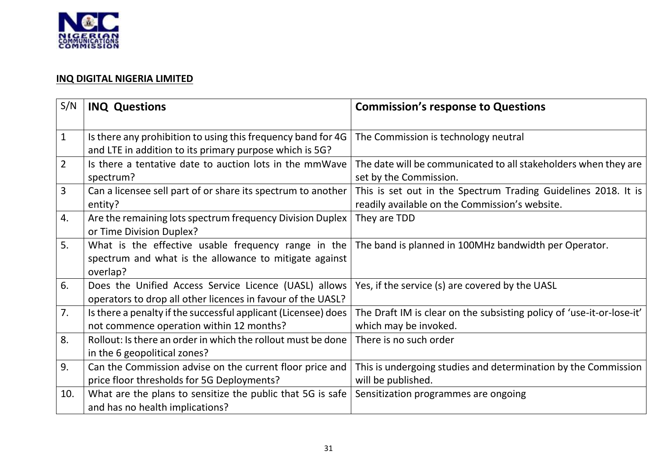

### **INQ DIGITAL NIGERIA LIMITED**

| S/N            | <b>INQ Questions</b>                                                                                                      | <b>Commission's response to Questions</b>                                                                        |
|----------------|---------------------------------------------------------------------------------------------------------------------------|------------------------------------------------------------------------------------------------------------------|
| $\mathbf{1}$   | Is there any prohibition to using this frequency band for 4G<br>and LTE in addition to its primary purpose which is 5G?   | The Commission is technology neutral                                                                             |
| $\overline{2}$ | Is there a tentative date to auction lots in the mmWave<br>spectrum?                                                      | The date will be communicated to all stakeholders when they are<br>set by the Commission.                        |
| $\overline{3}$ | Can a licensee sell part of or share its spectrum to another<br>entity?                                                   | This is set out in the Spectrum Trading Guidelines 2018. It is<br>readily available on the Commission's website. |
| 4.             | Are the remaining lots spectrum frequency Division Duplex<br>or Time Division Duplex?                                     | They are TDD                                                                                                     |
| 5.             | What is the effective usable frequency range in the<br>spectrum and what is the allowance to mitigate against<br>overlap? | The band is planned in 100MHz bandwidth per Operator.                                                            |
| 6.             | Does the Unified Access Service Licence (UASL) allows<br>operators to drop all other licences in favour of the UASL?      | Yes, if the service (s) are covered by the UASL                                                                  |
| 7.             | Is there a penalty if the successful applicant (Licensee) does<br>not commence operation within 12 months?                | The Draft IM is clear on the subsisting policy of 'use-it-or-lose-it'<br>which may be invoked.                   |
| 8.             | Rollout: Is there an order in which the rollout must be done<br>in the 6 geopolitical zones?                              | There is no such order                                                                                           |
| 9.             | Can the Commission advise on the current floor price and<br>price floor thresholds for 5G Deployments?                    | This is undergoing studies and determination by the Commission<br>will be published.                             |
| 10.            | What are the plans to sensitize the public that 5G is safe<br>and has no health implications?                             | Sensitization programmes are ongoing                                                                             |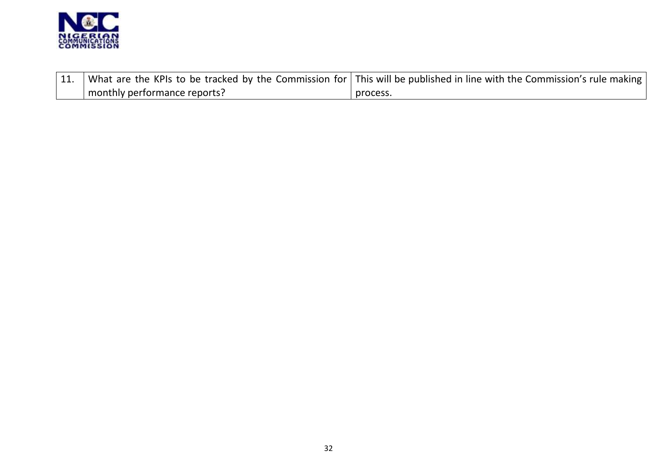

|                              | 11.   What are the KPIs to be tracked by the Commission for   This will be published in line with the Commission's rule making |
|------------------------------|--------------------------------------------------------------------------------------------------------------------------------|
| monthly performance reports? | process.                                                                                                                       |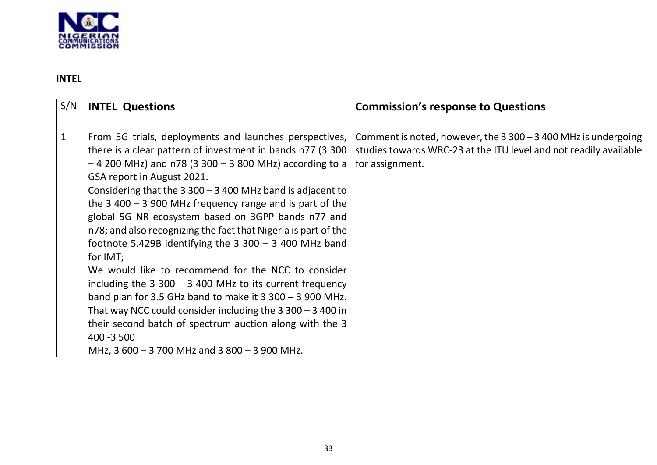

## **INTEL**

| S/N          | <b>INTEL Questions</b>                                                                                                                                                                                                                                                                                                                                                                                                                                                                                                                                                                                                                                                                                                                                                                                                                                                                                                                 | <b>Commission's response to Questions</b>                                                                                                              |
|--------------|----------------------------------------------------------------------------------------------------------------------------------------------------------------------------------------------------------------------------------------------------------------------------------------------------------------------------------------------------------------------------------------------------------------------------------------------------------------------------------------------------------------------------------------------------------------------------------------------------------------------------------------------------------------------------------------------------------------------------------------------------------------------------------------------------------------------------------------------------------------------------------------------------------------------------------------|--------------------------------------------------------------------------------------------------------------------------------------------------------|
| $\mathbf{1}$ | From 5G trials, deployments and launches perspectives,<br>there is a clear pattern of investment in bands n77 (3 300)<br>$-$ 4 200 MHz) and n78 (3 300 $-$ 3 800 MHz) according to a<br>GSA report in August 2021.<br>Considering that the $3\,300 - 3\,400$ MHz band is adjacent to<br>the $3,400 - 3,900$ MHz frequency range and is part of the<br>global 5G NR ecosystem based on 3GPP bands n77 and<br>n78; and also recognizing the fact that Nigeria is part of the<br>footnote 5.429B identifying the $3\,300 - 3\,400$ MHz band<br>for IMT;<br>We would like to recommend for the NCC to consider<br>including the $3\,300 - 3\,400$ MHz to its current frequency<br>band plan for 3.5 GHz band to make it $3\,300 - 3\,900$ MHz.<br>That way NCC could consider including the $3\,300 - 3\,400$ in<br>their second batch of spectrum auction along with the 3<br>400 - 3500<br>MHz, $3600 - 3700$ MHz and $3800 - 3900$ MHz. | Comment is noted, however, the $3300 - 3400$ MHz is undergoing<br>studies towards WRC-23 at the ITU level and not readily available<br>for assignment. |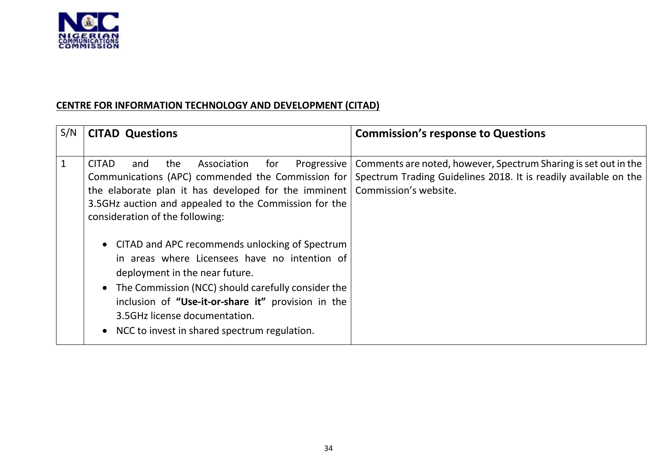

## **CENTRE FOR INFORMATION TECHNOLOGY AND DEVELOPMENT (CITAD)**

| S/N | <b>CITAD Questions</b>                                                                                                                                                                                                                                                                                                                               | <b>Commission's response to Questions</b>                                                                                           |
|-----|------------------------------------------------------------------------------------------------------------------------------------------------------------------------------------------------------------------------------------------------------------------------------------------------------------------------------------------------------|-------------------------------------------------------------------------------------------------------------------------------------|
| -1  | <b>CITAD</b><br>the<br>Association<br>Progressive<br>for<br>and<br>Communications (APC) commended the Commission for<br>the elaborate plan it has developed for the imminent   Commission's website.<br>3.5GHz auction and appealed to the Commission for the<br>consideration of the following:<br>• CITAD and APC recommends unlocking of Spectrum | Comments are noted, however, Spectrum Sharing is set out in the<br>Spectrum Trading Guidelines 2018. It is readily available on the |
|     | in areas where Licensees have no intention of<br>deployment in the near future.<br>• The Commission (NCC) should carefully consider the<br>inclusion of "Use-it-or-share it" provision in the<br>3.5GHz license documentation.<br>NCC to invest in shared spectrum regulation.                                                                       |                                                                                                                                     |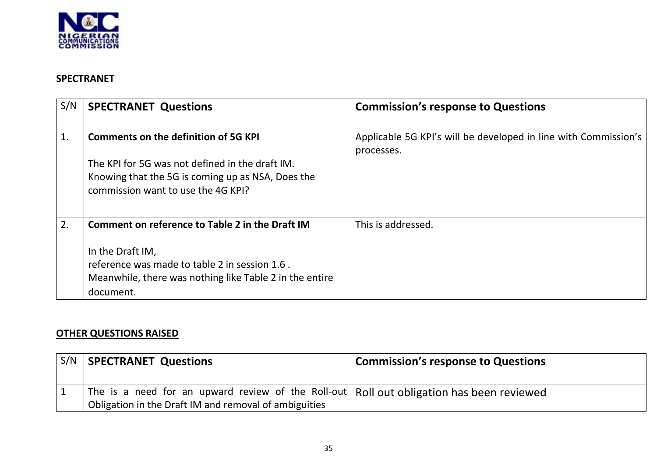

### **SPECTRANET**

| S/N            | <b>SPECTRANET Questions</b>                                                                                                                | <b>Commission's response to Questions</b>                                     |
|----------------|--------------------------------------------------------------------------------------------------------------------------------------------|-------------------------------------------------------------------------------|
| $\mathbf{1}$ . | <b>Comments on the definition of 5G KPI</b>                                                                                                | Applicable 5G KPI's will be developed in line with Commission's<br>processes. |
|                | The KPI for 5G was not defined in the draft IM.<br>Knowing that the 5G is coming up as NSA, Does the<br>commission want to use the 4G KPI? |                                                                               |
| 2.             | Comment on reference to Table 2 in the Draft IM                                                                                            | This is addressed.                                                            |
|                | In the Draft IM,                                                                                                                           |                                                                               |
|                | reference was made to table 2 in session 1.6.<br>Meanwhile, there was nothing like Table 2 in the entire                                   |                                                                               |
|                | document.                                                                                                                                  |                                                                               |

## **OTHER QUESTIONS RAISED**

| S/N | SPECTRANET Questions                                                                                                                                | <b>Commission's response to Questions</b> |
|-----|-----------------------------------------------------------------------------------------------------------------------------------------------------|-------------------------------------------|
|     | The is a need for an upward review of the Roll-out   Roll out obligation has been reviewed<br>Obligation in the Draft IM and removal of ambiguities |                                           |